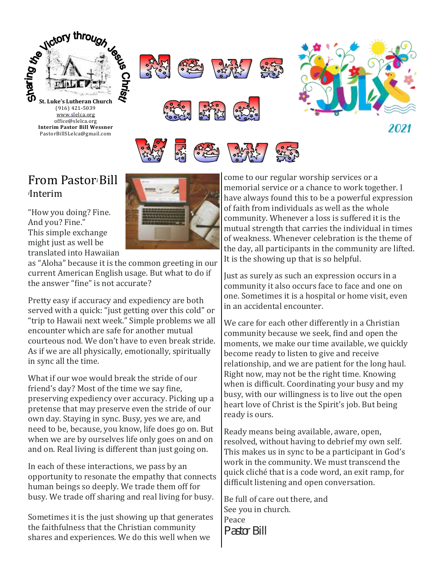

## From Pastor*i* Bill *<sup>i</sup>*Interim

"How you doing? Fine. And you? Fine." This simple exchange might just as well be translated into Hawaiian



as "Aloha" because it is the common greeting in our current American English usage. But what to do if the answer "fine" is not accurate?

Pretty easy if accuracy and expediency are both served with a quick: "just getting over this cold" or "trip to Hawaii next week." Simple problems we all encounter which are safe for another mutual courteous nod. We don't have to even break stride. As if we are all physically, emotionally, spiritually in sync all the time.

What if our woe would break the stride of our friend's day? Most of the time we say fine, preserving expediency over accuracy. Picking up a pretense that may preserve even the stride of our own day. Staying in sync. Busy, yes we are, and need to be, because, you know, life does go on. But when we are by ourselves life only goes on and on and on. Real living is different than just going on.

In each of these interactions, we pass by an opportunity to resonate the empathy that connects human beings so deeply. We trade them off for busy. We trade off sharing and real living for busy.

Sometimes it is the just showing up that generates the faithfulness that the Christian community shares and experiences. We do this well when we

come to our regular worship services or a memorial service or a chance to work together. I have always found this to be a powerful expression of faith from individuals as well as the whole community. Whenever a loss is suffered it is the mutual strength that carries the individual in times of weakness. Whenever celebration is the theme of the day, all participants in the community are lifted. It is the showing up that is so helpful.

Just as surely as such an expression occurs in a community it also occurs face to face and one on one. Sometimes it is a hospital or home visit, even in an accidental encounter.

We care for each other differently in a Christian community because we seek, find and open the moments, we make our time available, we quickly become ready to listen to give and receive relationship, and we are patient for the long haul. Right now, may not be the right time. Knowing when is difficult. Coordinating your busy and my busy, with our willingness is to live out the open heart love of Christ is the Spirit's job. But being ready is ours.

Ready means being available, aware, open, resolved, without having to debrief my own self. This makes us in sync to be a participant in God's work in the community. We must transcend the quick cliche that is a code word, an exit ramp, for difficult listening and open conversation.

Be full of care out there, and See you in church. Peace *Pastor Bill*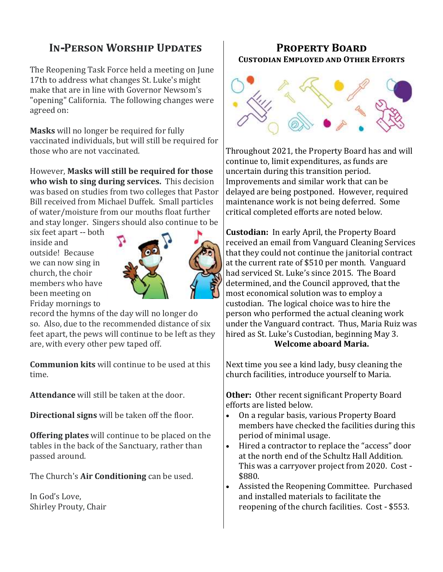## **In-Person Worship Updates**

The Reopening Task Force held a meeting on June 17th to address what changes St. Luke's might make that are in line with Governor Newsom's "opening" California. The following changes were agreed on:

**Masks** will no longer be required for fully vaccinated individuals, but will still be required for those who are not vaccinated.

However, **Masks will still be required for those who wish to sing during services.** This decision was based on studies from two colleges that Pastor Bill received from Michael Duffek. Small particles of water/moisture from our mouths float further and stay longer. Singers should also continue to be

six feet apart -- both inside and outside! Because we can now sing in church, the choir members who have been meeting on Friday mornings to



record the hymns of the day will no longer do so. Also, due to the recommended distance of six feet apart, the pews will continue to be left as they are, with every other pew taped off.

**Communion kits** will continue to be used at this time.

**Attendance** will still be taken at the door.

**Directional signs** will be taken off the floor.

**Offering plates** will continue to be placed on the tables in the back of the Sanctuary, rather than passed around.

The Church's **Air Conditioning** can be used.

In God's Love, Shirley Prouty, Chair

### **Property Board Custodian Employed and Other Efforts**



Throughout 2021, the Property Board has and will continue to, limit expenditures, as funds are uncertain during this transition period. Improvements and similar work that can be delayed are being postponed. However, required maintenance work is not being deferred. Some critical completed efforts are noted below.

**Custodian:** In early April, the Property Board received an email from Vanguard Cleaning Services that they could not continue the janitorial contract at the current rate of \$510 per month. Vanguard had serviced St. Luke's since 2015. The Board determined, and the Council approved, that the most economical solution was to employ a custodian. The logical choice was to hire the person who performed the actual cleaning work under the Vanguard contract. Thus, Maria Ruiz was hired as St. Luke's Custodian, beginning May 3. **Welcome aboard Maria.** 

Next time you see a kind lady, busy cleaning the church facilities, introduce yourself to Maria.

**Other:** Other recent significant Property Board efforts are listed below.

- On a regular basis, various Property Board members have checked the facilities during this period of minimal usage.
- Hired a contractor to replace the "access" door at the north end of the Schultz Hall Addition. This was a carryover project from 2020. Cost - \$880.
- Assisted the Reopening Committee. Purchased and installed materials to facilitate the reopening of the church facilities. Cost - \$553.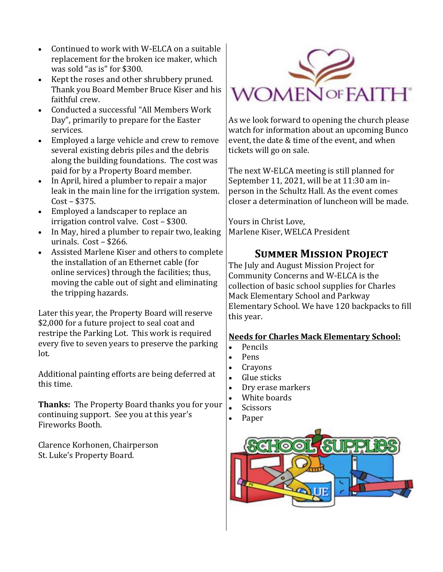- Continued to work with W-ELCA on a suitable replacement for the broken ice maker, which was sold "as is" for \$300.
- Kept the roses and other shrubbery pruned. Thank you Board Member Bruce Kiser and his faithful crew.
- Conducted a successful "All Members Work Day", primarily to prepare for the Easter services.
- Employed a large vehicle and crew to remove several existing debris piles and the debris along the building foundations. The cost was paid for by a Property Board member.
- In April, hired a plumber to repair a major leak in the main line for the irrigation system. Cost – \$375.
- Employed a landscaper to replace an irrigation control valve. Cost – \$300.
- In May, hired a plumber to repair two, leaking urinals. Cost – \$266.
- Assisted Marlene Kiser and others to complete the installation of an Ethernet cable (for online services) through the facilities; thus, moving the cable out of sight and eliminating the tripping hazards.

Later this year, the Property Board will reserve \$2,000 for a future project to seal coat and restripe the Parking Lot. This work is required every five to seven years to preserve the parking lot.

Additional painting efforts are being deferred at this time.

**Thanks:** The Property Board thanks you for your continuing support. See you at this year's Fireworks Booth.

Clarence Korhonen, Chairperson St. Luke's Property Board.



As we look forward to opening the church please watch for information about an upcoming Bunco event, the date & time of the event, and when tickets will go on sale.

The next W-ELCA meeting is still planned for September 11, 2021, will be at 11:30 am inperson in the Schultz Hall. As the event comes closer a determination of luncheon will be made.

Yours in Christ Love, Marlene Kiser, WELCA President

## **Summer Mission Project**

The July and August Mission Project for Community Concerns and W-ELCA is the collection of basic school supplies for Charles Mack Elementary School and Parkway Elementary School. We have 120 backpacks to fill this year.

#### **Needs for Charles Mack Elementary School:**

- Pencils
- Pens
- **Crayons**
- Glue sticks
- Dry erase markers
- White boards
- **Scissors**
- Paper

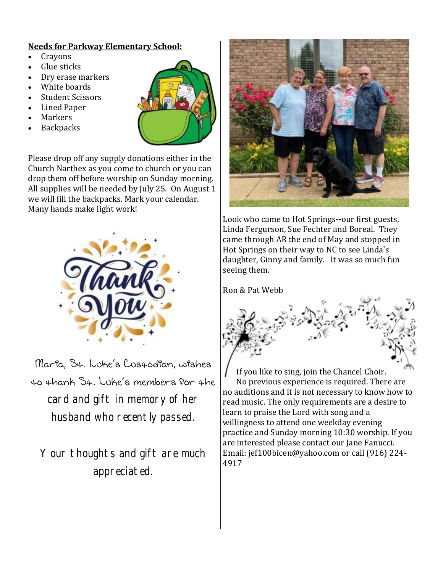#### **Needs for Parkway Elementary School:**

- Crayons
- Glue sticks
- Dry erase markers
- White boards
- Student Scissors
- Lined Paper
- **Markers**
- **Backpacks**



Please drop off any supply donations either in the Church Narthex as you come to church or you can drop them off before worship on Sunday morning. All supplies will be needed by July 25. On August 1 we will fill the backpacks. Mark your calendar. Many hands make light work!



Maria, St. Luke's Custodian, wishes to thank St. Luke's members for the card and gift in memory of her husband who recently passed.

Your thoughts and gift are much appreciated.



Look who came to Hot Springs--our first guests, Linda Fergurson, Sue Fechter and Boreal. They came through AR the end of May and stopped in Hot Springs on their way to NC to see Linda's daughter, Ginny and family. It was so much fun seeing them.

Ron & Pat Webb



 If you like to sing, join the Chancel Choir. No previous experience is required. There are no auditions and it is not necessary to know how to read music. The only requirements are a desire to learn to praise the Lord with song and a willingness to attend one weekday evening practice and Sunday morning 10:30 worship. If you are interested please contact our Jane Fanucci. Email: jef100bicen@yahoo.com or call (916) 224- 4917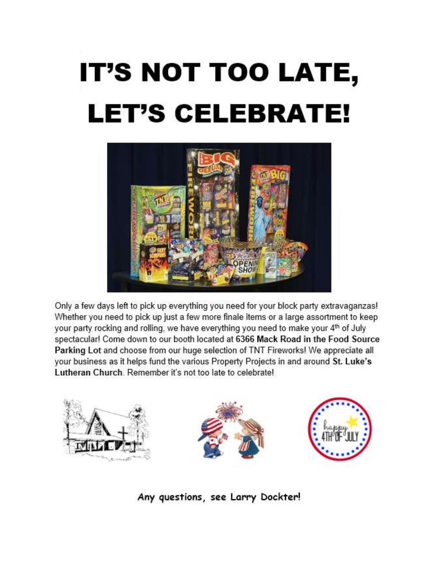# IT'S NOT TOO LATE, **LET'S CELEBRATE!**



Only a few days left to pick up everything you need for your block party extravaganzas! Whether you need to pick up just a few more finale items or a large assortment to keep your party rocking and rolling, we have everything you need to make your 4<sup>th</sup> of July spectacular! Come down to our booth located at 6366 Mack Road in the Food Source Parking Lot and choose from our huge selection of TNT Fireworks! We appreciate all your business as it helps fund the various Property Projects in and around St. Luke's Lutheran Church, Remember it's not too late to celebrate!



Any questions, see Larry Dockter!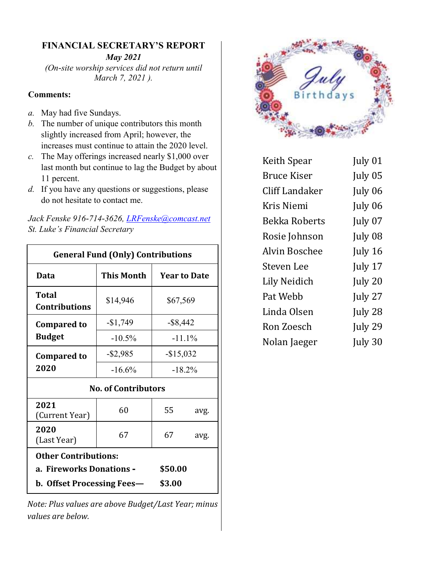#### **FINANCIAL SECRETARY'S REPORT**

*May 2021 (On-site worship services did not return until March 7, 2021 ).*

#### **Comments:**

- *a.* May had five Sundays.
- *b.* The number of unique contributors this month slightly increased from April; however, the increases must continue to attain the 2020 level.
- *c.* The May offerings increased nearly \$1,000 over last month but continue to lag the Budget by about 11 percent.
- *d.* If you have any questions or suggestions, please do not hesitate to contact me.

| Jack Fenske 916-714-3626, LRFenske@comcast.net |
|------------------------------------------------|
| St. Luke's Financial Secretary                 |

| <b>General Fund (Only) Contributions</b> |                   |                     |      |  |  |
|------------------------------------------|-------------------|---------------------|------|--|--|
| Data                                     | <b>This Month</b> | <b>Year to Date</b> |      |  |  |
| <b>Total</b><br><b>Contributions</b>     | \$14,946          | \$67,569            |      |  |  |
| <b>Compared to</b>                       | $-$1,749$         | $-$ \$8,442         |      |  |  |
| <b>Budget</b>                            | $-10.5%$          | $-11.1\%$           |      |  |  |
| <b>Compared to</b>                       | $-$ \$2,985       | $-$15,032$          |      |  |  |
| 2020                                     | $-16.6%$          | $-18.2\%$           |      |  |  |
| <b>No. of Contributors</b>               |                   |                     |      |  |  |
| 2021<br>(Current Year)                   | 60                | 55                  | avg. |  |  |
| 2020<br>(Last Year)                      | 67                | 67                  | avg. |  |  |
| <b>Other Contributions:</b>              |                   |                     |      |  |  |
| a. Fireworks Donations -                 |                   | \$50.00             |      |  |  |
| b. Offset Processing Fees-               |                   | \$3.00              |      |  |  |

*Note: Plus values are above Budget/Last Year; minus values are below.* 



| <b>Keith Spear</b> | July 01 |
|--------------------|---------|
| Bruce Kiser        | July 05 |
| Cliff Landaker     | July 06 |
| Kris Niemi         | July 06 |
| Bekka Roberts      | July 07 |
| Rosie Johnson      | July 08 |
| Alvin Boschee      | July 16 |
| Steven Lee         | July 17 |
| Lily Neidich       | July 20 |
| Pat Webb           | July 27 |
| Linda Olsen        | July 28 |
| Ron Zoesch         | July 29 |
| Nolan Jaeger       | July 30 |